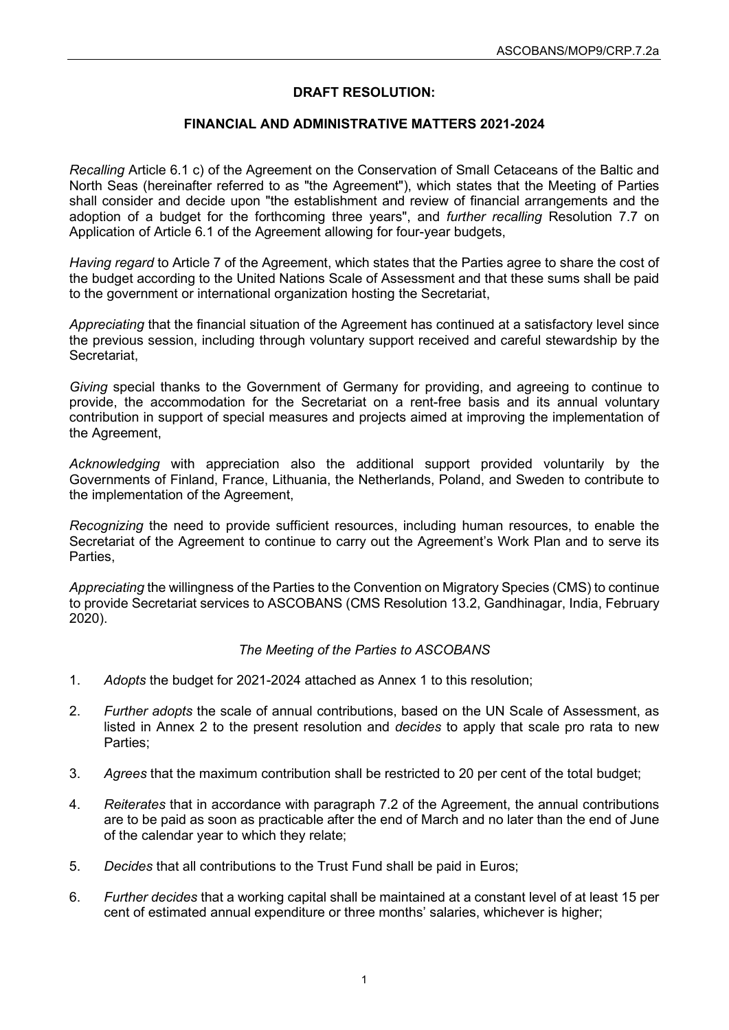# **DRAFT RESOLUTION:**

### **FINANCIAL AND ADMINISTRATIVE MATTERS 2021-2024**

*Recalling* Article 6.1 c) of the Agreement on the Conservation of Small Cetaceans of the Baltic and North Seas (hereinafter referred to as "the Agreement"), which states that the Meeting of Parties shall consider and decide upon "the establishment and review of financial arrangements and the adoption of a budget for the forthcoming three years", and *further recalling* Resolution 7.7 on Application of Article 6.1 of the Agreement allowing for four-year budgets,

*Having regard* to Article 7 of the Agreement, which states that the Parties agree to share the cost of the budget according to the United Nations Scale of Assessment and that these sums shall be paid to the government or international organization hosting the Secretariat,

*Appreciating* that the financial situation of the Agreement has continued at a satisfactory level since the previous session, including through voluntary support received and careful stewardship by the Secretariat,

*Giving* special thanks to the Government of Germany for providing, and agreeing to continue to provide, the accommodation for the Secretariat on a rent-free basis and its annual voluntary contribution in support of special measures and projects aimed at improving the implementation of the Agreement,

*Acknowledging* with appreciation also the additional support provided voluntarily by the Governments of Finland, France, Lithuania, the Netherlands, Poland, and Sweden to contribute to the implementation of the Agreement,

*Recognizing* the need to provide sufficient resources, including human resources, to enable the Secretariat of the Agreement to continue to carry out the Agreement's Work Plan and to serve its Parties,

*Appreciating* the willingness of the Parties to the Convention on Migratory Species (CMS) to continue to provide Secretariat services to ASCOBANS (CMS Resolution 13.2, Gandhinagar, India, February 2020).

### *The Meeting of the Parties to ASCOBANS*

- 1. *Adopts* the budget for 2021-2024 attached as Annex 1 to this resolution;
- 2. *Further adopts* the scale of annual contributions, based on the UN Scale of Assessment, as listed in Annex 2 to the present resolution and *decides* to apply that scale pro rata to new Parties;
- 3. *Agrees* that the maximum contribution shall be restricted to 20 per cent of the total budget;
- 4. *Reiterates* that in accordance with paragraph 7.2 of the Agreement, the annual contributions are to be paid as soon as practicable after the end of March and no later than the end of June of the calendar year to which they relate;
- 5. *Decides* that all contributions to the Trust Fund shall be paid in Euros;
- 6. *Further decides* that a working capital shall be maintained at a constant level of at least 15 per cent of estimated annual expenditure or three months' salaries, whichever is higher;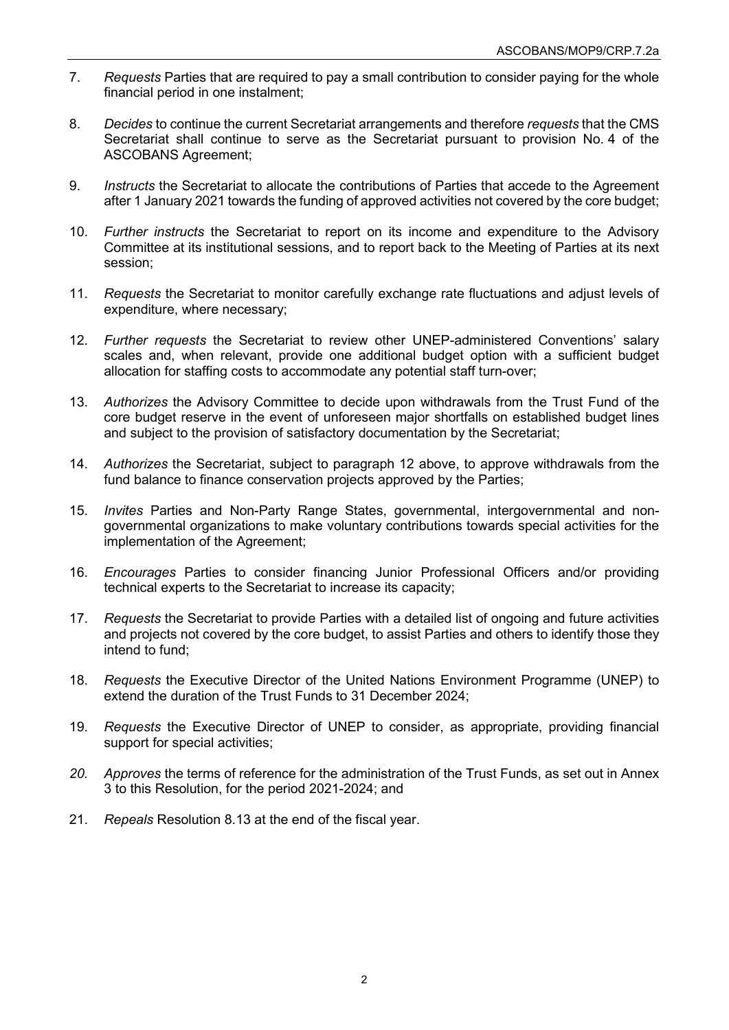- 7. *Requests* Parties that are required to pay a small contribution to consider paying for the whole financial period in one instalment;
- 8. *Decides* to continue the current Secretariat arrangements and therefore *requests* that the CMS Secretariat shall continue to serve as the Secretariat pursuant to provision No. 4 of the ASCOBANS Agreement;
- 9. *Instructs* the Secretariat to allocate the contributions of Parties that accede to the Agreement after 1 January 2021 towards the funding of approved activities not covered by the core budget;
- 10. *Further instructs* the Secretariat to report on its income and expenditure to the Advisory Committee at its institutional sessions, and to report back to the Meeting of Parties at its next session;
- 11. *Requests* the Secretariat to monitor carefully exchange rate fluctuations and adjust levels of expenditure, where necessary;
- 12. *Further requests* the Secretariat to review other UNEP-administered Conventions' salary scales and, when relevant, provide one additional budget option with a sufficient budget allocation for staffing costs to accommodate any potential staff turn-over;
- 13. *Authorizes* the Advisory Committee to decide upon withdrawals from the Trust Fund of the core budget reserve in the event of unforeseen major shortfalls on established budget lines and subject to the provision of satisfactory documentation by the Secretariat;
- 14. *Authorizes* the Secretariat, subject to paragraph 12 above, to approve withdrawals from the fund balance to finance conservation projects approved by the Parties;
- 15. *Invites* Parties and Non-Party Range States, governmental, intergovernmental and nongovernmental organizations to make voluntary contributions towards special activities for the implementation of the Agreement;
- 16. *Encourages* Parties to consider financing Junior Professional Officers and/or providing technical experts to the Secretariat to increase its capacity;
- 17. *Requests* the Secretariat to provide Parties with a detailed list of ongoing and future activities and projects not covered by the core budget, to assist Parties and others to identify those they intend to fund;
- 18. *Requests* the Executive Director of the United Nations Environment Programme (UNEP) to extend the duration of the Trust Funds to 31 December 2024;
- 19. *Requests* the Executive Director of UNEP to consider, as appropriate, providing financial support for special activities;
- *20. Approves* the terms of reference for the administration of the Trust Funds, as set out in Annex 3 to this Resolution, for the period 2021-2024; and
- 21. *Repeals* Resolution 8.13 at the end of the fiscal year.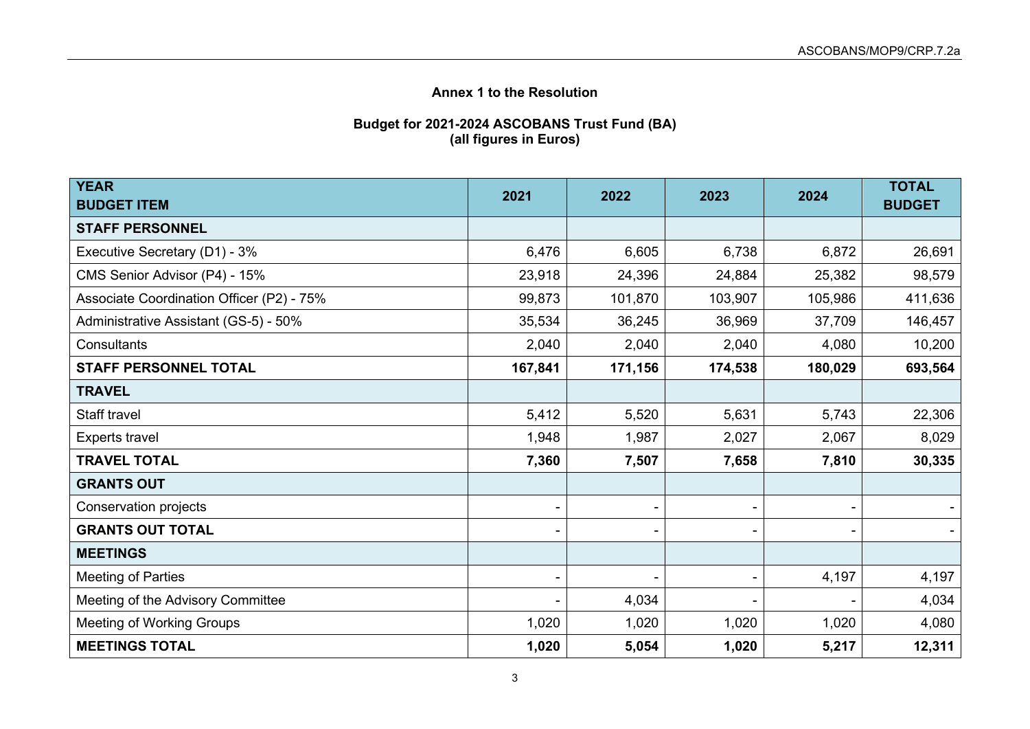# **Annex 1 to the Resolution**

#### **Budget for 2021-2024 ASCOBANS Trust Fund (BA) (all figures in Euros)**

| <b>YEAR</b>                               | 2021    | 2022    | 2023    | 2024    | <b>TOTAL</b>  |
|-------------------------------------------|---------|---------|---------|---------|---------------|
| <b>BUDGET ITEM</b>                        |         |         |         |         | <b>BUDGET</b> |
| <b>STAFF PERSONNEL</b>                    |         |         |         |         |               |
| Executive Secretary (D1) - 3%             | 6,476   | 6,605   | 6,738   | 6,872   | 26,691        |
| CMS Senior Advisor (P4) - 15%             | 23,918  | 24,396  | 24,884  | 25,382  | 98,579        |
| Associate Coordination Officer (P2) - 75% | 99,873  | 101,870 | 103,907 | 105,986 | 411,636       |
| Administrative Assistant (GS-5) - 50%     | 35,534  | 36,245  | 36,969  | 37,709  | 146,457       |
| Consultants                               | 2,040   | 2,040   | 2,040   | 4,080   | 10,200        |
| <b>STAFF PERSONNEL TOTAL</b>              | 167,841 | 171,156 | 174,538 | 180,029 | 693,564       |
| <b>TRAVEL</b>                             |         |         |         |         |               |
| Staff travel                              | 5,412   | 5,520   | 5,631   | 5,743   | 22,306        |
| <b>Experts travel</b>                     | 1,948   | 1,987   | 2,027   | 2,067   | 8,029         |
| <b>TRAVEL TOTAL</b>                       | 7,360   | 7,507   | 7,658   | 7,810   | 30,335        |
| <b>GRANTS OUT</b>                         |         |         |         |         |               |
| Conservation projects                     |         |         |         |         |               |
| <b>GRANTS OUT TOTAL</b>                   |         |         |         |         |               |
| <b>MEETINGS</b>                           |         |         |         |         |               |
| <b>Meeting of Parties</b>                 |         |         |         | 4,197   | 4,197         |
| Meeting of the Advisory Committee         |         | 4,034   |         |         | 4,034         |
| <b>Meeting of Working Groups</b>          | 1,020   | 1,020   | 1,020   | 1,020   | 4,080         |
| <b>MEETINGS TOTAL</b>                     | 1,020   | 5,054   | 1,020   | 5,217   | 12,311        |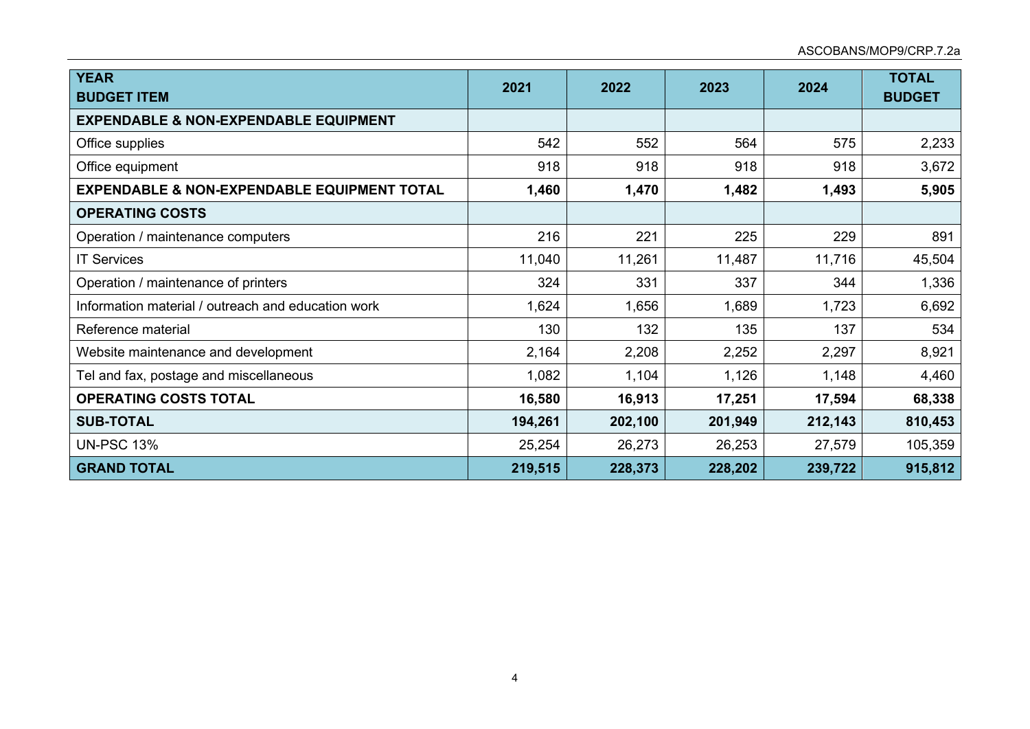| <b>YEAR</b><br><b>BUDGET ITEM</b>                      | 2021    | 2022    | 2023    | 2024    | <b>TOTAL</b><br><b>BUDGET</b> |
|--------------------------------------------------------|---------|---------|---------|---------|-------------------------------|
| <b>EXPENDABLE &amp; NON-EXPENDABLE EQUIPMENT</b>       |         |         |         |         |                               |
| Office supplies                                        | 542     | 552     | 564     | 575     | 2,233                         |
| Office equipment                                       | 918     | 918     | 918     | 918     | 3,672                         |
| <b>EXPENDABLE &amp; NON-EXPENDABLE EQUIPMENT TOTAL</b> | 1,460   | 1,470   | 1,482   | 1,493   | 5,905                         |
| <b>OPERATING COSTS</b>                                 |         |         |         |         |                               |
| Operation / maintenance computers                      | 216     | 221     | 225     | 229     | 891                           |
| <b>IT Services</b>                                     | 11,040  | 11,261  | 11,487  | 11,716  | 45,504                        |
| Operation / maintenance of printers                    | 324     | 331     | 337     | 344     | 1,336                         |
| Information material / outreach and education work     | 1,624   | 1,656   | 1,689   | 1,723   | 6,692                         |
| Reference material                                     | 130     | 132     | 135     | 137     | 534                           |
| Website maintenance and development                    | 2,164   | 2,208   | 2,252   | 2,297   | 8,921                         |
| Tel and fax, postage and miscellaneous                 | 1,082   | 1,104   | 1,126   | 1,148   | 4,460                         |
| <b>OPERATING COSTS TOTAL</b>                           | 16,580  | 16,913  | 17,251  | 17,594  | 68,338                        |
| <b>SUB-TOTAL</b>                                       | 194,261 | 202,100 | 201,949 | 212,143 | 810,453                       |
| <b>UN-PSC 13%</b>                                      | 25,254  | 26,273  | 26,253  | 27,579  | 105,359                       |
| <b>GRAND TOTAL</b>                                     | 219,515 | 228,373 | 228,202 | 239,722 | 915,812                       |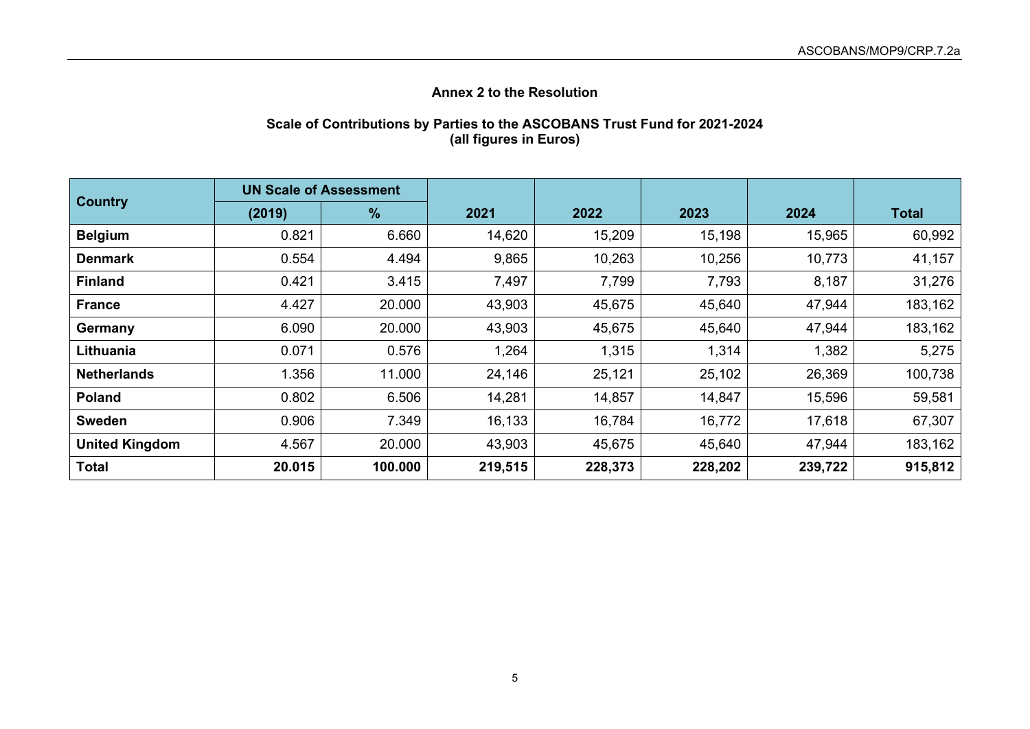# **Annex 2 to the Resolution**

### **Scale of Contributions by Parties to the ASCOBANS Trust Fund for 2021-2024 (all figures in Euros)**

| <b>Country</b>        | <b>UN Scale of Assessment</b> |               |         |         |         |         |              |
|-----------------------|-------------------------------|---------------|---------|---------|---------|---------|--------------|
|                       | (2019)                        | $\frac{9}{6}$ | 2021    | 2022    | 2023    | 2024    | <b>Total</b> |
| <b>Belgium</b>        | 0.821                         | 6.660         | 14,620  | 15,209  | 15,198  | 15,965  | 60,992       |
| <b>Denmark</b>        | 0.554                         | 4.494         | 9,865   | 10,263  | 10,256  | 10,773  | 41,157       |
| <b>Finland</b>        | 0.421                         | 3.415         | 7,497   | 7,799   | 7,793   | 8,187   | 31,276       |
| <b>France</b>         | 4.427                         | 20.000        | 43,903  | 45,675  | 45,640  | 47,944  | 183,162      |
| Germany               | 6.090                         | 20.000        | 43,903  | 45,675  | 45,640  | 47,944  | 183,162      |
| Lithuania             | 0.071                         | 0.576         | 1,264   | 1,315   | 1,314   | 1,382   | 5,275        |
| <b>Netherlands</b>    | 1.356                         | 11.000        | 24,146  | 25,121  | 25,102  | 26,369  | 100,738      |
| <b>Poland</b>         | 0.802                         | 6.506         | 14,281  | 14,857  | 14,847  | 15,596  | 59,581       |
| <b>Sweden</b>         | 0.906                         | 7.349         | 16,133  | 16,784  | 16,772  | 17,618  | 67,307       |
| <b>United Kingdom</b> | 4.567                         | 20.000        | 43,903  | 45,675  | 45,640  | 47,944  | 183,162      |
| <b>Total</b>          | 20.015                        | 100.000       | 219,515 | 228,373 | 228,202 | 239,722 | 915,812      |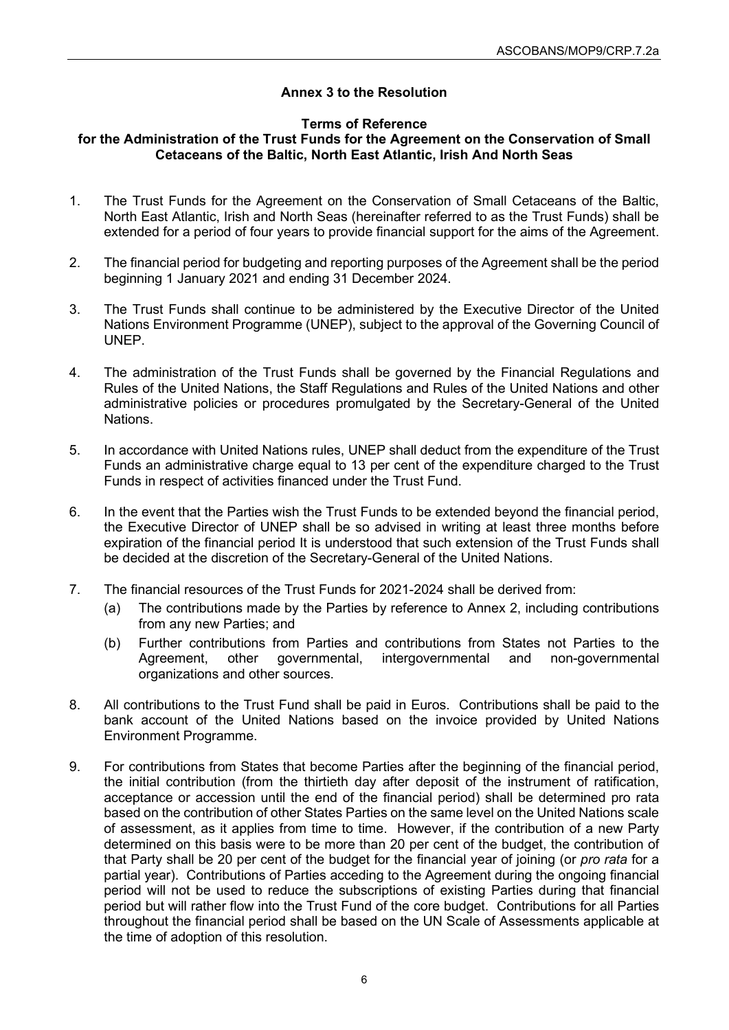## **Annex 3 to the Resolution**

### **Terms of Reference**

### **for the Administration of the Trust Funds for the Agreement on the Conservation of Small Cetaceans of the Baltic, North East Atlantic, Irish And North Seas**

- 1. The Trust Funds for the Agreement on the Conservation of Small Cetaceans of the Baltic, North East Atlantic, Irish and North Seas (hereinafter referred to as the Trust Funds) shall be extended for a period of four years to provide financial support for the aims of the Agreement.
- 2. The financial period for budgeting and reporting purposes of the Agreement shall be the period beginning 1 January 2021 and ending 31 December 2024.
- 3. The Trust Funds shall continue to be administered by the Executive Director of the United Nations Environment Programme (UNEP), subject to the approval of the Governing Council of UNEP.
- 4. The administration of the Trust Funds shall be governed by the Financial Regulations and Rules of the United Nations, the Staff Regulations and Rules of the United Nations and other administrative policies or procedures promulgated by the Secretary-General of the United Nations.
- 5. In accordance with United Nations rules, UNEP shall deduct from the expenditure of the Trust Funds an administrative charge equal to 13 per cent of the expenditure charged to the Trust Funds in respect of activities financed under the Trust Fund.
- 6. In the event that the Parties wish the Trust Funds to be extended beyond the financial period, the Executive Director of UNEP shall be so advised in writing at least three months before expiration of the financial period It is understood that such extension of the Trust Funds shall be decided at the discretion of the Secretary-General of the United Nations.
- 7. The financial resources of the Trust Funds for 2021-2024 shall be derived from:
	- (a) The contributions made by the Parties by reference to Annex 2, including contributions from any new Parties; and
	- (b) Further contributions from Parties and contributions from States not Parties to the<br>Agreement, other governmental, intergovernmental and non-governmental Agreement, other governmental, intergovernmental and non-governmental organizations and other sources.
- 8. All contributions to the Trust Fund shall be paid in Euros. Contributions shall be paid to the bank account of the United Nations based on the invoice provided by United Nations Environment Programme.
- 9. For contributions from States that become Parties after the beginning of the financial period, the initial contribution (from the thirtieth day after deposit of the instrument of ratification, acceptance or accession until the end of the financial period) shall be determined pro rata based on the contribution of other States Parties on the same level on the United Nations scale of assessment, as it applies from time to time. However, if the contribution of a new Party determined on this basis were to be more than 20 per cent of the budget, the contribution of that Party shall be 20 per cent of the budget for the financial year of joining (or *pro rata* for a partial year). Contributions of Parties acceding to the Agreement during the ongoing financial period will not be used to reduce the subscriptions of existing Parties during that financial period but will rather flow into the Trust Fund of the core budget. Contributions for all Parties throughout the financial period shall be based on the UN Scale of Assessments applicable at the time of adoption of this resolution.